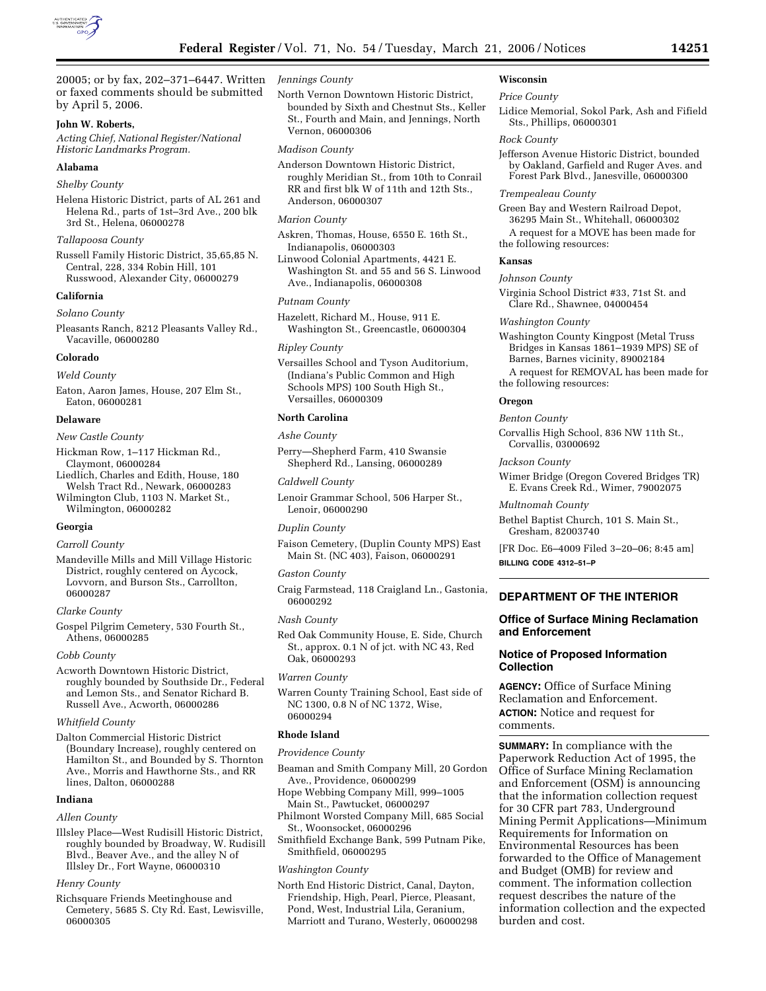

20005; or by fax, 202–371–6447. Written or faxed comments should be submitted by April 5, 2006.

# **John W. Roberts,**

*Acting Chief, National Register/National Historic Landmarks Program.* 

### **Alabama**

### *Shelby County*

Helena Historic District, parts of AL 261 and Helena Rd., parts of 1st–3rd Ave., 200 blk 3rd St., Helena, 06000278

#### *Tallapoosa County*

Russell Family Historic District, 35,65,85 N. Central, 228, 334 Robin Hill, 101 Russwood, Alexander City, 06000279

#### **California**

*Solano County* 

Pleasants Ranch, 8212 Pleasants Valley Rd., Vacaville, 06000280

#### **Colorado**

*Weld County* 

Eaton, Aaron James, House, 207 Elm St., Eaton, 06000281

#### **Delaware**

*New Castle County* 

- Hickman Row, 1–117 Hickman Rd., Claymont, 06000284
- Liedlich, Charles and Edith, House, 180 Welsh Tract Rd., Newark, 06000283 Wilmington Club, 1103 N. Market St.,
- Wilmington, 06000282

# **Georgia**

# *Carroll County*

Mandeville Mills and Mill Village Historic District, roughly centered on Aycock, Lovvorn, and Burson Sts., Carrollton, 06000287

### *Clarke County*

Gospel Pilgrim Cemetery, 530 Fourth St., Athens, 06000285

#### *Cobb County*

Acworth Downtown Historic District, roughly bounded by Southside Dr., Federal and Lemon Sts., and Senator Richard B. Russell Ave., Acworth, 06000286

### *Whitfield County*

Dalton Commercial Historic District (Boundary Increase), roughly centered on Hamilton St., and Bounded by S. Thornton Ave., Morris and Hawthorne Sts., and RR lines, Dalton, 06000288

### **Indiana**

### *Allen County*

Illsley Place—West Rudisill Historic District, roughly bounded by Broadway, W. Rudisill Blvd., Beaver Ave., and the alley N of Illsley Dr., Fort Wayne, 06000310

#### *Henry County*

Richsquare Friends Meetinghouse and Cemetery, 5685 S. Cty Rd. East, Lewisville, 06000305

# *Jennings County*

North Vernon Downtown Historic District, bounded by Sixth and Chestnut Sts., Keller St., Fourth and Main, and Jennings, North Vernon, 06000306

# *Madison County*

Anderson Downtown Historic District, roughly Meridian St., from 10th to Conrail RR and first blk W of 11th and 12th Sts., Anderson, 06000307

### *Marion County*

Askren, Thomas, House, 6550 E. 16th St., Indianapolis, 06000303

Linwood Colonial Apartments, 4421 E. Washington St. and 55 and 56 S. Linwood Ave., Indianapolis, 06000308

#### *Putnam County*

Hazelett, Richard M., House, 911 E. Washington St., Greencastle, 06000304

### *Ripley County*

Versailles School and Tyson Auditorium, (Indiana's Public Common and High Schools MPS) 100 South High St., Versailles, 06000309

#### **North Carolina**

#### *Ashe County*

Perry—Shepherd Farm, 410 Swansie Shepherd Rd., Lansing, 06000289

#### *Caldwell County*

Lenoir Grammar School, 506 Harper St., Lenoir, 06000290

# *Duplin County*

Faison Cemetery, (Duplin County MPS) East Main St. (NC 403), Faison, 06000291

### *Gaston County*

Craig Farmstead, 118 Craigland Ln., Gastonia, 06000292

### *Nash County*

Red Oak Community House, E. Side, Church St., approx. 0.1 N of jct. with NC 43, Red Oak, 06000293

# *Warren County*

Warren County Training School, East side of NC 1300, 0.8 N of NC 1372, Wise, 06000294

# **Rhode Island**

#### *Providence County*

- Beaman and Smith Company Mill, 20 Gordon Ave., Providence, 06000299
- Hope Webbing Company Mill, 999–1005 Main St., Pawtucket, 06000297
- Philmont Worsted Company Mill, 685 Social St., Woonsocket, 06000296
- Smithfield Exchange Bank, 599 Putnam Pike, Smithfield, 06000295

#### *Washington County*

North End Historic District, Canal, Dayton, Friendship, High, Pearl, Pierce, Pleasant, Pond, West, Industrial Lila, Geranium, Marriott and Turano, Westerly, 06000298

# **Wisconsin**

# *Price County*

Lidice Memorial, Sokol Park, Ash and Fifield Sts., Phillips, 06000301

### *Rock County*

Jefferson Avenue Historic District, bounded by Oakland, Garfield and Ruger Aves. and Forest Park Blvd., Janesville, 06000300

### *Trempealeau County*

Green Bay and Western Railroad Depot, 36295 Main St., Whitehall, 06000302

A request for a MOVE has been made for the following resources:

# **Kansas**

#### *Johnson County*

Virginia School District #33, 71st St. and Clare Rd., Shawnee, 04000454

#### *Washington County*

Washington County Kingpost (Metal Truss Bridges in Kansas 1861–1939 MPS) SE of Barnes, Barnes vicinity, 89002184

A request for REMOVAL has been made for the following resources:

#### **Oregon**

# *Benton County*

Corvallis High School, 836 NW 11th St., Corvallis, 03000692

### *Jackson County*

Wimer Bridge (Oregon Covered Bridges TR) E. Evans Creek Rd., Wimer, 79002075

### *Multnomah County*

- Bethel Baptist Church, 101 S. Main St., Gresham, 82003740
- [FR Doc. E6–4009 Filed 3–20–06; 8:45 am] **BILLING CODE 4312–51–P**

# **DEPARTMENT OF THE INTERIOR**

# **Office of Surface Mining Reclamation and Enforcement**

# **Notice of Proposed Information Collection**

**AGENCY:** Office of Surface Mining Reclamation and Enforcement. **ACTION:** Notice and request for comments.

**SUMMARY:** In compliance with the Paperwork Reduction Act of 1995, the Office of Surface Mining Reclamation and Enforcement (OSM) is announcing that the information collection request for 30 CFR part 783, Underground Mining Permit Applications—Minimum Requirements for Information on Environmental Resources has been forwarded to the Office of Management and Budget (OMB) for review and comment. The information collection request describes the nature of the information collection and the expected burden and cost.